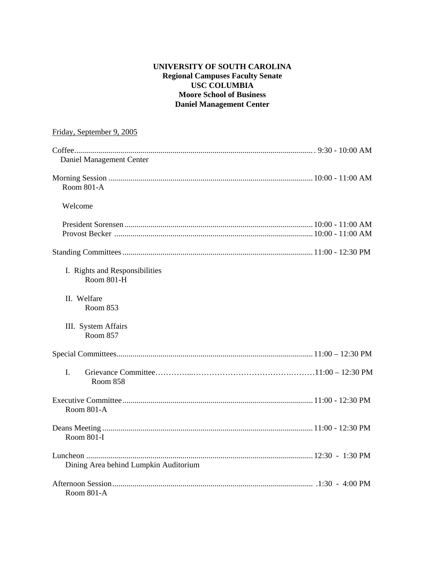# **UNIVERSITY OF SOUTH CAROLINA Regional Campuses Faculty Senate USC COLUMBIA Moore School of Business Daniel Management Center**

| Friday, September 9, 2005                           |  |
|-----------------------------------------------------|--|
| Daniel Management Center                            |  |
| <b>Room 801-A</b>                                   |  |
| Welcome                                             |  |
|                                                     |  |
|                                                     |  |
| I. Rights and Responsibilities<br><b>Room 801-H</b> |  |
| II. Welfare<br>Room 853                             |  |
| III. System Affairs<br><b>Room 857</b>              |  |
|                                                     |  |
| L.<br>Room 858                                      |  |
| Room 801-A                                          |  |
| <b>Room 801-I</b>                                   |  |
| Dining Area behind Lumpkin Auditorium               |  |
| Room 801-A                                          |  |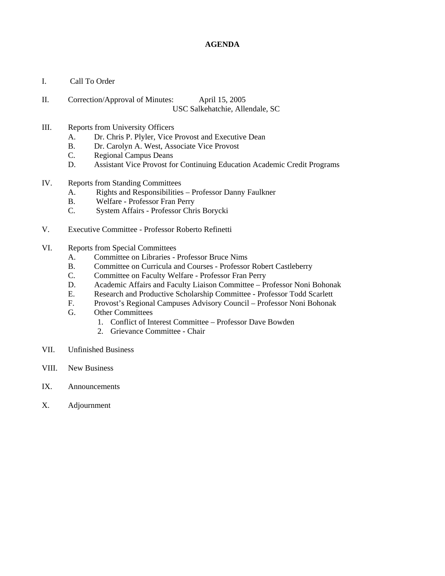# **AGENDA**

- I. Call To Order
- II. Correction/Approval of Minutes: April 15, 2005 USC Salkehatchie, Allendale, SC

### III. Reports from University Officers

- A. Dr. Chris P. Plyler, Vice Provost and Executive Dean
- B. Dr. Carolyn A. West, Associate Vice Provost
- C. Regional Campus Deans
- D. Assistant Vice Provost for Continuing Education Academic Credit Programs

### IV. Reports from Standing Committees

- A. Rights and Responsibilities Professor Danny Faulkner
- B. Welfare Professor Fran Perry
- C. System Affairs Professor Chris Borycki
- V. Executive Committee Professor Roberto Refinetti
- VI. Reports from Special Committees
	- A. Committee on Libraries Professor Bruce Nims
	- B. Committee on Curricula and Courses Professor Robert Castleberry
	- C. Committee on Faculty Welfare Professor Fran Perry
	- D. Academic Affairs and Faculty Liaison Committee Professor Noni Bohonak
	- E. Research and Productive Scholarship Committee Professor Todd Scarlett
	- F. Provost's Regional Campuses Advisory Council Professor Noni Bohonak
	- G. Other Committees
		- 1. Conflict of Interest Committee Professor Dave Bowden
		- 2. Grievance Committee Chair
- VII. Unfinished Business
- VIII. New Business
- IX. Announcements
- X. Adjournment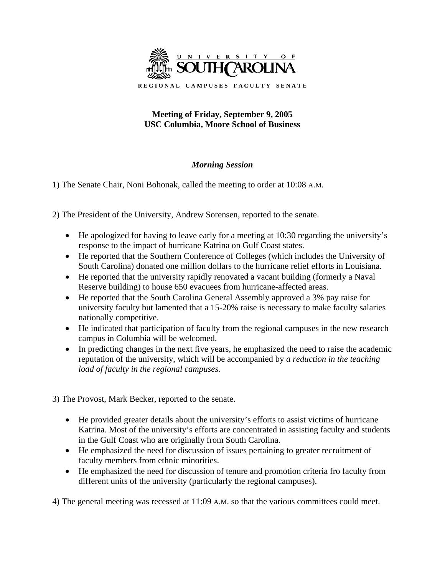

# **Meeting of Friday, September 9, 2005 USC Columbia, Moore School of Business**

# *Morning Session*

1) The Senate Chair, Noni Bohonak, called the meeting to order at 10:08 A.M.

2) The President of the University, Andrew Sorensen, reported to the senate.

- He apologized for having to leave early for a meeting at 10:30 regarding the university's response to the impact of hurricane Katrina on Gulf Coast states.
- He reported that the Southern Conference of Colleges (which includes the University of South Carolina) donated one million dollars to the hurricane relief efforts in Louisiana.
- He reported that the university rapidly renovated a vacant building (formerly a Naval Reserve building) to house 650 evacuees from hurricane-affected areas.
- He reported that the South Carolina General Assembly approved a 3% pay raise for university faculty but lamented that a 15-20% raise is necessary to make faculty salaries nationally competitive.
- He indicated that participation of faculty from the regional campuses in the new research campus in Columbia will be welcomed.
- In predicting changes in the next five years, he emphasized the need to raise the academic reputation of the university, which will be accompanied by *a reduction in the teaching load of faculty in the regional campuses.*

3) The Provost, Mark Becker, reported to the senate.

- He provided greater details about the university's efforts to assist victims of hurricane Katrina. Most of the university's efforts are concentrated in assisting faculty and students in the Gulf Coast who are originally from South Carolina.
- He emphasized the need for discussion of issues pertaining to greater recruitment of faculty members from ethnic minorities.
- He emphasized the need for discussion of tenure and promotion criteria fro faculty from different units of the university (particularly the regional campuses).

4) The general meeting was recessed at 11:09 A.M. so that the various committees could meet.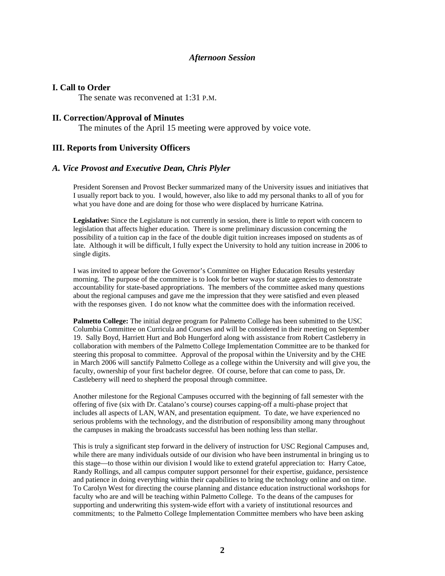# *Afternoon Session*

### **I. Call to Order**

The senate was reconvened at 1:31 P.M.

### **II. Correction/Approval of Minutes**

The minutes of the April 15 meeting were approved by voice vote.

# **III. Reports from University Officers**

### *A. Vice Provost and Executive Dean, Chris Plyler*

President Sorensen and Provost Becker summarized many of the University issues and initiatives that I usually report back to you. I would, however, also like to add my personal thanks to all of you for what you have done and are doing for those who were displaced by hurricane Katrina.

**Legislative:** Since the Legislature is not currently in session, there is little to report with concern to legislation that affects higher education. There is some preliminary discussion concerning the possibility of a tuition cap in the face of the double digit tuition increases imposed on students as of late. Although it will be difficult, I fully expect the University to hold any tuition increase in 2006 to single digits.

I was invited to appear before the Governor's Committee on Higher Education Results yesterday morning. The purpose of the committee is to look for better ways for state agencies to demonstrate accountability for state-based appropriations. The members of the committee asked many questions about the regional campuses and gave me the impression that they were satisfied and even pleased with the responses given. I do not know what the committee does with the information received.

**Palmetto College:** The initial degree program for Palmetto College has been submitted to the USC Columbia Committee on Curricula and Courses and will be considered in their meeting on September 19. Sally Boyd, Harriett Hurt and Bob Hungerford along with assistance from Robert Castleberry in collaboration with members of the Palmetto College Implementation Committee are to be thanked for steering this proposal to committee. Approval of the proposal within the University and by the CHE in March 2006 will sanctify Palmetto College as a college within the University and will give you, the faculty, ownership of your first bachelor degree. Of course, before that can come to pass, Dr. Castleberry will need to shepherd the proposal through committee.

Another milestone for the Regional Campuses occurred with the beginning of fall semester with the offering of five (six with Dr. Catalano's course) courses capping-off a multi-phase project that includes all aspects of LAN, WAN, and presentation equipment. To date, we have experienced no serious problems with the technology, and the distribution of responsibility among many throughout the campuses in making the broadcasts successful has been nothing less than stellar.

This is truly a significant step forward in the delivery of instruction for USC Regional Campuses and, while there are many individuals outside of our division who have been instrumental in bringing us to this stage—to those within our division I would like to extend grateful appreciation to: Harry Catoe, Randy Rollings, and all campus computer support personnel for their expertise, guidance, persistence and patience in doing everything within their capabilities to bring the technology online and on time. To Carolyn West for directing the course planning and distance education instructional workshops for faculty who are and will be teaching within Palmetto College. To the deans of the campuses for supporting and underwriting this system-wide effort with a variety of institutional resources and commitments; to the Palmetto College Implementation Committee members who have been asking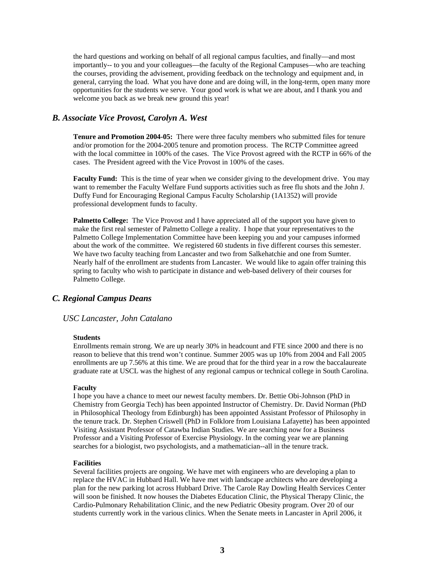the hard questions and working on behalf of all regional campus faculties, and finally—and most importantly-- to you and your colleagues—the faculty of the Regional Campuses—who are teaching the courses, providing the advisement, providing feedback on the technology and equipment and, in general, carrying the load. What you have done and are doing will, in the long-term, open many more opportunities for the students we serve. Your good work is what we are about, and I thank you and welcome you back as we break new ground this year!

# *B. Associate Vice Provost, Carolyn A. West*

**Tenure and Promotion 2004-05:** There were three faculty members who submitted files for tenure and/or promotion for the 2004-2005 tenure and promotion process. The RCTP Committee agreed with the local committee in 100% of the cases. The Vice Provost agreed with the RCTP in 66% of the cases. The President agreed with the Vice Provost in 100% of the cases.

**Faculty Fund:** This is the time of year when we consider giving to the development drive. You may want to remember the Faculty Welfare Fund supports activities such as free flu shots and the John J. Duffy Fund for Encouraging Regional Campus Faculty Scholarship (1A1352) will provide professional development funds to faculty.

**Palmetto College:** The Vice Provost and I have appreciated all of the support you have given to make the first real semester of Palmetto College a reality. I hope that your representatives to the Palmetto College Implementation Committee have been keeping you and your campuses informed about the work of the committee. We registered 60 students in five different courses this semester. We have two faculty teaching from Lancaster and two from Salkehatchie and one from Sumter. Nearly half of the enrollment are students from Lancaster. We would like to again offer training this spring to faculty who wish to participate in distance and web-based delivery of their courses for Palmetto College.

# *C. Regional Campus Deans*

### *USC Lancaster, John Catalano*

#### **Students**

Enrollments remain strong. We are up nearly 30% in headcount and FTE since 2000 and there is no reason to believe that this trend won't continue. Summer 2005 was up 10% from 2004 and Fall 2005 enrollments are up 7.56% at this time. We are proud that for the third year in a row the baccalaureate graduate rate at USCL was the highest of any regional campus or technical college in South Carolina.

### **Faculty**

I hope you have a chance to meet our newest faculty members. Dr. Bettie Obi-Johnson (PhD in Chemistry from Georgia Tech) has been appointed Instructor of Chemistry. Dr. David Norman (PhD in Philosophical Theology from Edinburgh) has been appointed Assistant Professor of Philosophy in the tenure track. Dr. Stephen Criswell (PhD in Folklore from Louisiana Lafayette) has been appointed Visiting Assistant Professor of Catawba Indian Studies. We are searching now for a Business Professor and a Visiting Professor of Exercise Physiology. In the coming year we are planning searches for a biologist, two psychologists, and a mathematician--all in the tenure track.

#### **Facilities**

Several facilities projects are ongoing. We have met with engineers who are developing a plan to replace the HVAC in Hubbard Hall. We have met with landscape architects who are developing a plan for the new parking lot across Hubbard Drive. The Carole Ray Dowling Health Services Center will soon be finished. It now houses the Diabetes Education Clinic, the Physical Therapy Clinic, the Cardio-Pulmonary Rehabilitation Clinic, and the new Pediatric Obesity program. Over 20 of our students currently work in the various clinics. When the Senate meets in Lancaster in April 2006, it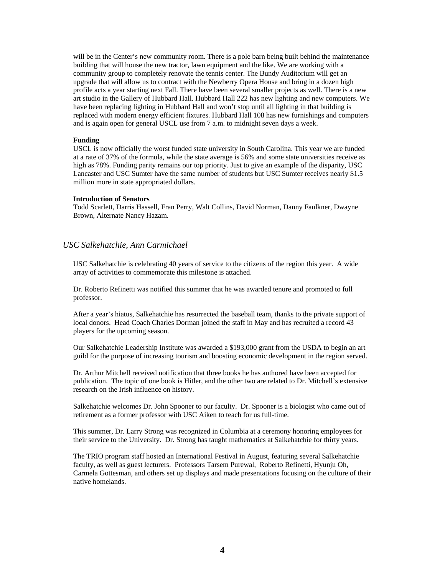will be in the Center's new community room. There is a pole barn being built behind the maintenance building that will house the new tractor, lawn equipment and the like. We are working with a community group to completely renovate the tennis center. The Bundy Auditorium will get an upgrade that will allow us to contract with the Newberry Opera House and bring in a dozen high profile acts a year starting next Fall. There have been several smaller projects as well. There is a new art studio in the Gallery of Hubbard Hall. Hubbard Hall 222 has new lighting and new computers. We have been replacing lighting in Hubbard Hall and won't stop until all lighting in that building is replaced with modern energy efficient fixtures. Hubbard Hall 108 has new furnishings and computers and is again open for general USCL use from 7 a.m. to midnight seven days a week.

#### **Funding**

USCL is now officially the worst funded state university in South Carolina. This year we are funded at a rate of 37% of the formula, while the state average is 56% and some state universities receive as high as 78%. Funding parity remains our top priority. Just to give an example of the disparity, USC Lancaster and USC Sumter have the same number of students but USC Sumter receives nearly \$1.5 million more in state appropriated dollars.

#### **Introduction of Senators**

Todd Scarlett, Darris Hassell, Fran Perry, Walt Collins, David Norman, Danny Faulkner, Dwayne Brown, Alternate Nancy Hazam.

### *USC Salkehatchie, Ann Carmichael*

USC Salkehatchie is celebrating 40 years of service to the citizens of the region this year. A wide array of activities to commemorate this milestone is attached.

Dr. Roberto Refinetti was notified this summer that he was awarded tenure and promoted to full professor.

After a year's hiatus, Salkehatchie has resurrected the baseball team, thanks to the private support of local donors. Head Coach Charles Dorman joined the staff in May and has recruited a record 43 players for the upcoming season.

Our Salkehatchie Leadership Institute was awarded a \$193,000 grant from the USDA to begin an art guild for the purpose of increasing tourism and boosting economic development in the region served.

Dr. Arthur Mitchell received notification that three books he has authored have been accepted for publication. The topic of one book is Hitler, and the other two are related to Dr. Mitchell's extensive research on the Irish influence on history.

Salkehatchie welcomes Dr. John Spooner to our faculty. Dr. Spooner is a biologist who came out of retirement as a former professor with USC Aiken to teach for us full-time.

This summer, Dr. Larry Strong was recognized in Columbia at a ceremony honoring employees for their service to the University. Dr. Strong has taught mathematics at Salkehatchie for thirty years.

The TRIO program staff hosted an International Festival in August, featuring several Salkehatchie faculty, as well as guest lecturers. Professors Tarsem Purewal, Roberto Refinetti, Hyunju Oh, Carmela Gottesman, and others set up displays and made presentations focusing on the culture of their native homelands.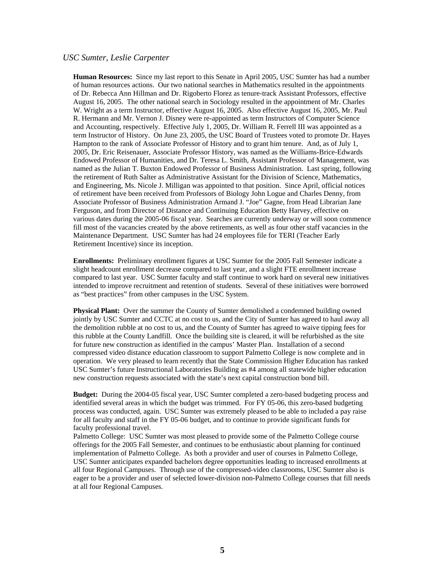### *USC Sumter, Leslie Carpenter*

**Human Resources:** Since my last report to this Senate in April 2005, USC Sumter has had a number of human resources actions. Our two national searches in Mathematics resulted in the appointments of Dr. Rebecca Ann Hillman and Dr. Rigoberto Florez as tenure-track Assistant Professors, effective August 16, 2005. The other national search in Sociology resulted in the appointment of Mr. Charles W. Wright as a term Instructor, effective August 16, 2005. Also effective August 16, 2005, Mr. Paul R. Hermann and Mr. Vernon J. Disney were re-appointed as term Instructors of Computer Science and Accounting, respectively. Effective July 1, 2005, Dr. William R. Ferrell III was appointed as a term Instructor of History. On June 23, 2005, the USC Board of Trustees voted to promote Dr. Hayes Hampton to the rank of Associate Professor of History and to grant him tenure. And, as of July 1, 2005, Dr. Eric Reisenauer, Associate Professor History, was named as the Williams-Brice-Edwards Endowed Professor of Humanities, and Dr. Teresa L. Smith, Assistant Professor of Management, was named as the Julian T. Buxton Endowed Professor of Business Administration. Last spring, following the retirement of Ruth Salter as Administrative Assistant for the Division of Science, Mathematics, and Engineering, Ms. Nicole J. Milligan was appointed to that position. Since April, official notices of retirement have been received from Professors of Biology John Logue and Charles Denny, from Associate Professor of Business Administration Armand J. "Joe" Gagne, from Head Librarian Jane Ferguson, and from Director of Distance and Continuing Education Betty Harvey, effective on various dates during the 2005-06 fiscal year. Searches are currently underway or will soon commence fill most of the vacancies created by the above retirements, as well as four other staff vacancies in the Maintenance Department. USC Sumter has had 24 employees file for TERI (Teacher Early Retirement Incentive) since its inception.

**Enrollments:** Preliminary enrollment figures at USC Sumter for the 2005 Fall Semester indicate a slight headcount enrollment decrease compared to last year, and a slight FTE enrollment increase compared to last year. USC Sumter faculty and staff continue to work hard on several new initiatives intended to improve recruitment and retention of students. Several of these initiatives were borrowed as "best practices" from other campuses in the USC System.

**Physical Plant:** Over the summer the County of Sumter demolished a condemned building owned jointly by USC Sumter and CCTC at no cost to us, and the City of Sumter has agreed to haul away all the demolition rubble at no cost to us, and the County of Sumter has agreed to waive tipping fees for this rubble at the County Landfill. Once the building site is cleared, it will be refurbished as the site for future new construction as identified in the campus' Master Plan. Installation of a second compressed video distance education classroom to support Palmetto College is now complete and in operation. We very pleased to learn recently that the State Commission Higher Education has ranked USC Sumter's future Instructional Laboratories Building as #4 among all statewide higher education new construction requests associated with the state's next capital construction bond bill.

**Budget:** During the 2004-05 fiscal year, USC Sumter completed a zero-based budgeting process and identified several areas in which the budget was trimmed. For FY 05-06, this zero-based budgeting process was conducted, again. USC Sumter was extremely pleased to be able to included a pay raise for all faculty and staff in the FY 05-06 budget, and to continue to provide significant funds for faculty professional travel.

Palmetto College: USC Sumter was most pleased to provide some of the Palmetto College course offerings for the 2005 Fall Semester, and continues to be enthusiastic about planning for continued implementation of Palmetto College. As both a provider and user of courses in Palmetto College, USC Sumter anticipates expanded bachelors degree opportunities leading to increased enrollments at all four Regional Campuses. Through use of the compressed-video classrooms, USC Sumter also is eager to be a provider and user of selected lower-division non-Palmetto College courses that fill needs at all four Regional Campuses.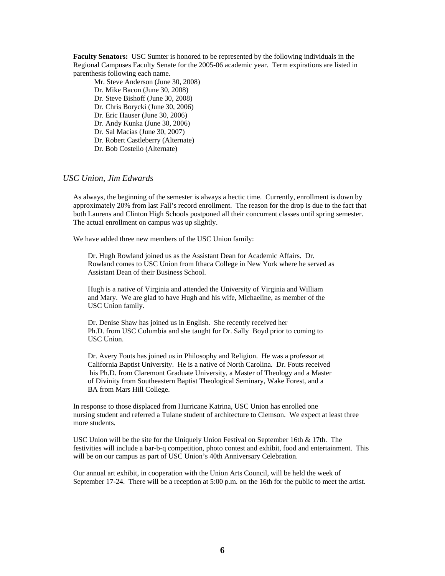**Faculty Senators:** USC Sumter is honored to be represented by the following individuals in the Regional Campuses Faculty Senate for the 2005-06 academic year. Term expirations are listed in parenthesis following each name.

Mr. Steve Anderson (June 30, 2008) Dr. Mike Bacon (June 30, 2008) Dr. Steve Bishoff (June 30, 2008) Dr. Chris Borycki (June 30, 2006) Dr. Eric Hauser (June 30, 2006) Dr. Andy Kunka (June 30, 2006) Dr. Sal Macias (June 30, 2007) Dr. Robert Castleberry (Alternate) Dr. Bob Costello (Alternate)

### *USC Union, Jim Edwards*

As always, the beginning of the semester is always a hectic time. Currently, enrollment is down by approximately 20% from last Fall's record enrollment. The reason for the drop is due to the fact that both Laurens and Clinton High Schools postponed all their concurrent classes until spring semester. The actual enrollment on campus was up slightly.

We have added three new members of the USC Union family:

 Dr. Hugh Rowland joined us as the Assistant Dean for Academic Affairs. Dr. Rowland comes to USC Union from Ithaca College in New York where he served as Assistant Dean of their Business School.

 Hugh is a native of Virginia and attended the University of Virginia and William and Mary. We are glad to have Hugh and his wife, Michaeline, as member of the USC Union family.

 Dr. Denise Shaw has joined us in English. She recently received her Ph.D. from USC Columbia and she taught for Dr. Sally Boyd prior to coming to USC Union.

 Dr. Avery Fouts has joined us in Philosophy and Religion. He was a professor at California Baptist University. He is a native of North Carolina. Dr. Fouts received his Ph.D. from Claremont Graduate University, a Master of Theology and a Master of Divinity from Southeastern Baptist Theological Seminary, Wake Forest, and a BA from Mars Hill College.

In response to those displaced from Hurricane Katrina, USC Union has enrolled one nursing student and referred a Tulane student of architecture to Clemson. We expect at least three more students.

USC Union will be the site for the Uniquely Union Festival on September 16th & 17th. The festivities will include a bar-b-q competition, photo contest and exhibit, food and entertainment. This will be on our campus as part of USC Union's 40th Anniversary Celebration.

Our annual art exhibit, in cooperation with the Union Arts Council, will be held the week of September 17-24. There will be a reception at 5:00 p.m. on the 16th for the public to meet the artist.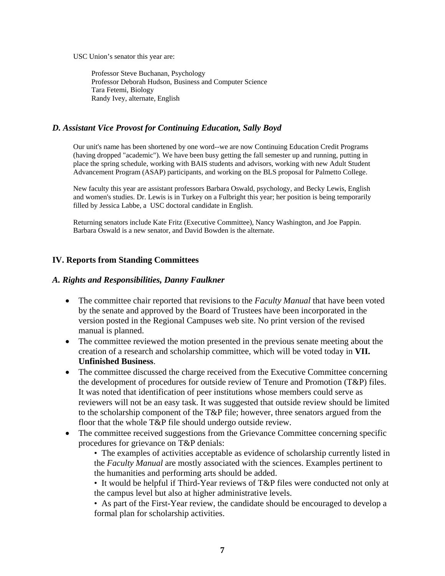USC Union's senator this year are:

 Professor Steve Buchanan, Psychology Professor Deborah Hudson, Business and Computer Science Tara Fetemi, Biology Randy Ivey, alternate, English

# *D. Assistant Vice Provost for Continuing Education, Sally Boyd*

Our unit's name has been shortened by one word--we are now Continuing Education Credit Programs (having dropped "academic"). We have been busy getting the fall semester up and running, putting in place the spring schedule, working with BAIS students and advisors, working with new Adult Student Advancement Program (ASAP) participants, and working on the BLS proposal for Palmetto College.

New faculty this year are assistant professors Barbara Oswald, psychology, and Becky Lewis, English and women's studies. Dr. Lewis is in Turkey on a Fulbright this year; her position is being temporarily filled by Jessica Labbe, a USC doctoral candidate in English.

Returning senators include Kate Fritz (Executive Committee), Nancy Washington, and Joe Pappin. Barbara Oswald is a new senator, and David Bowden is the alternate.

# **IV. Reports from Standing Committees**

# *A. Rights and Responsibilities, Danny Faulkner*

- The committee chair reported that revisions to the *Faculty Manual* that have been voted by the senate and approved by the Board of Trustees have been incorporated in the version posted in the Regional Campuses web site. No print version of the revised manual is planned.
- The committee reviewed the motion presented in the previous senate meeting about the creation of a research and scholarship committee, which will be voted today in **VII. Unfinished Business**.
- The committee discussed the charge received from the Executive Committee concerning the development of procedures for outside review of Tenure and Promotion (T&P) files. It was noted that identification of peer institutions whose members could serve as reviewers will not be an easy task. It was suggested that outside review should be limited to the scholarship component of the T&P file; however, three senators argued from the floor that the whole T&P file should undergo outside review.
- The committee received suggestions from the Grievance Committee concerning specific procedures for grievance on T&P denials:
	- The examples of activities acceptable as evidence of scholarship currently listed in the *Faculty Manual* are mostly associated with the sciences. Examples pertinent to the humanities and performing arts should be added.

• It would be helpful if Third-Year reviews of T&P files were conducted not only at the campus level but also at higher administrative levels.

• As part of the First-Year review, the candidate should be encouraged to develop a formal plan for scholarship activities.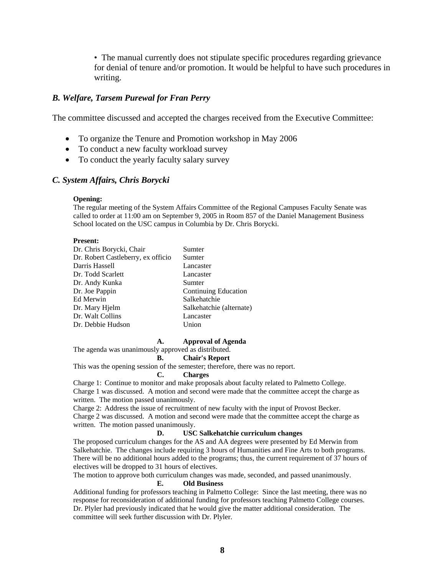• The manual currently does not stipulate specific procedures regarding grievance for denial of tenure and/or promotion. It would be helpful to have such procedures in writing.

### *B. Welfare, Tarsem Purewal for Fran Perry*

The committee discussed and accepted the charges received from the Executive Committee:

- To organize the Tenure and Promotion workshop in May 2006
- To conduct a new faculty workload survey
- To conduct the yearly faculty salary survey

## *C. System Affairs, Chris Borycki*

#### **Opening:**

The regular meeting of the System Affairs Committee of the Regional Campuses Faculty Senate was called to order at 11:00 am on September 9, 2005 in Room 857 of the Daniel Management Business School located on the USC campus in Columbia by Dr. Chris Borycki.

#### **Present:**

| Dr. Chris Borycki, Chair           | Sumter                      |
|------------------------------------|-----------------------------|
| Dr. Robert Castleberry, ex officio | Sumter                      |
| Darris Hassell                     | Lancaster                   |
| Dr. Todd Scarlett                  | Lancaster                   |
| Dr. Andy Kunka                     | Sumter                      |
| Dr. Joe Pappin                     | <b>Continuing Education</b> |
| Ed Merwin                          | Salkehatchie                |
| Dr. Mary Hjelm                     | Salkehatchie (alternate)    |
| Dr. Walt Collins                   | Lancaster                   |
| Dr. Debbie Hudson                  | Union                       |

#### **A. Approval of Agenda**

The agenda was unanimously approved as distributed.

#### **B. Chair's Report**

This was the opening session of the semester; therefore, there was no report.

#### **C. Charges**

Charge 1: Continue to monitor and make proposals about faculty related to Palmetto College.

Charge 1 was discussed. A motion and second were made that the committee accept the charge as written. The motion passed unanimously.

Charge 2: Address the issue of recruitment of new faculty with the input of Provost Becker.

Charge 2 was discussed. A motion and second were made that the committee accept the charge as written. The motion passed unanimously.

#### **D. USC Salkehatchie curriculum changes**

The proposed curriculum changes for the AS and AA degrees were presented by Ed Merwin from Salkehatchie. The changes include requiring 3 hours of Humanities and Fine Arts to both programs. There will be no additional hours added to the programs; thus, the current requirement of 37 hours of electives will be dropped to 31 hours of electives.

The motion to approve both curriculum changes was made, seconded, and passed unanimously.

#### **E. Old Business**

Additional funding for professors teaching in Palmetto College: Since the last meeting, there was no response for reconsideration of additional funding for professors teaching Palmetto College courses. Dr. Plyler had previously indicated that he would give the matter additional consideration. The committee will seek further discussion with Dr. Plyler.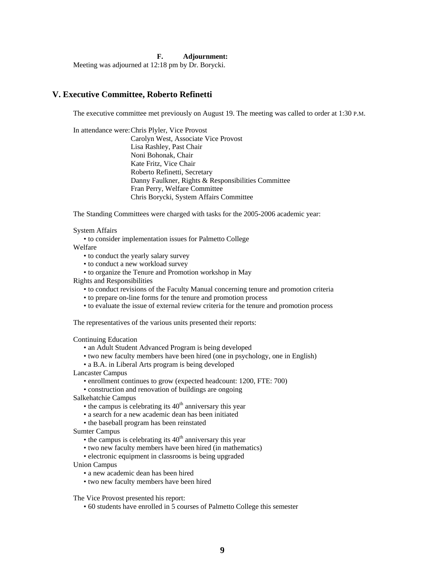#### **F. Adjournment:**

Meeting was adjourned at 12:18 pm by Dr. Borycki.

### **V. Executive Committee, Roberto Refinetti**

The executive committee met previously on August 19. The meeting was called to order at 1:30 P.M.

In attendance were: Chris Plyler, Vice Provost Carolyn West, Associate Vice Provost Lisa Rashley, Past Chair Noni Bohonak, Chair Kate Fritz, Vice Chair Roberto Refinetti, Secretary Danny Faulkner, Rights & Responsibilities Committee Fran Perry, Welfare Committee Chris Borycki, System Affairs Committee

The Standing Committees were charged with tasks for the 2005-2006 academic year:

#### System Affairs

• to consider implementation issues for Palmetto College

Welfare

- to conduct the yearly salary survey
- to conduct a new workload survey
- to organize the Tenure and Promotion workshop in May
- Rights and Responsibilities
	- to conduct revisions of the Faculty Manual concerning tenure and promotion criteria
	- to prepare on-line forms for the tenure and promotion process
	- to evaluate the issue of external review criteria for the tenure and promotion process

The representatives of the various units presented their reports:

Continuing Education

- an Adult Student Advanced Program is being developed
- two new faculty members have been hired (one in psychology, one in English)
- a B.A. in Liberal Arts program is being developed
- Lancaster Campus
	- enrollment continues to grow (expected headcount: 1200, FTE: 700)
	- construction and renovation of buildings are ongoing
- Salkehatchie Campus
	- the campus is celebrating its  $40<sup>th</sup>$  anniversary this year
	- a search for a new academic dean has been initiated
	- the baseball program has been reinstated

Sumter Campus

- the campus is celebrating its  $40<sup>th</sup>$  anniversary this year
- two new faculty members have been hired (in mathematics)
- electronic equipment in classrooms is being upgraded
- Union Campus
	- a new academic dean has been hired
	- two new faculty members have been hired

The Vice Provost presented his report:

• 60 students have enrolled in 5 courses of Palmetto College this semester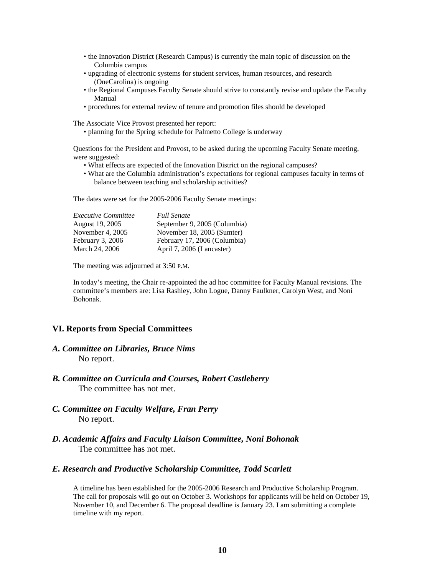- the Innovation District (Research Campus) is currently the main topic of discussion on the Columbia campus
- upgrading of electronic systems for student services, human resources, and research (OneCarolina) is ongoing
- the Regional Campuses Faculty Senate should strive to constantly revise and update the Faculty Manual
- procedures for external review of tenure and promotion files should be developed

The Associate Vice Provost presented her report:

• planning for the Spring schedule for Palmetto College is underway

Questions for the President and Provost, to be asked during the upcoming Faculty Senate meeting, were suggested:

- What effects are expected of the Innovation District on the regional campuses?
- What are the Columbia administration's expectations for regional campuses faculty in terms of balance between teaching and scholarship activities?

The dates were set for the 2005-2006 Faculty Senate meetings:

| <i>Executive Committee</i> | <b>Full Senate</b>           |
|----------------------------|------------------------------|
| August 19, 2005            | September 9, 2005 (Columbia) |
| November 4, 2005           | November 18, 2005 (Sumter)   |
| February 3, 2006           | February 17, 2006 (Columbia) |
| March 24, 2006             | April 7, 2006 (Lancaster)    |

The meeting was adjourned at 3:50 P.M.

In today's meeting, the Chair re-appointed the ad hoc committee for Faculty Manual revisions. The committee's members are: Lisa Rashley, John Logue, Danny Faulkner, Carolyn West, and Noni Bohonak.

# **VI. Reports from Special Committees**

- *A. Committee on Libraries, Bruce Nims*  No report.
- *B. Committee on Curricula and Courses, Robert Castleberry*  The committee has not met.
- *C. Committee on Faculty Welfare, Fran Perry*  No report.
- *D. Academic Affairs and Faculty Liaison Committee, Noni Bohonak*  The committee has not met.

### *E. Research and Productive Scholarship Committee, Todd Scarlett*

A timeline has been established for the 2005-2006 Research and Productive Scholarship Program. The call for proposals will go out on October 3. Workshops for applicants will be held on October 19, November 10, and December 6. The proposal deadline is January 23. I am submitting a complete timeline with my report.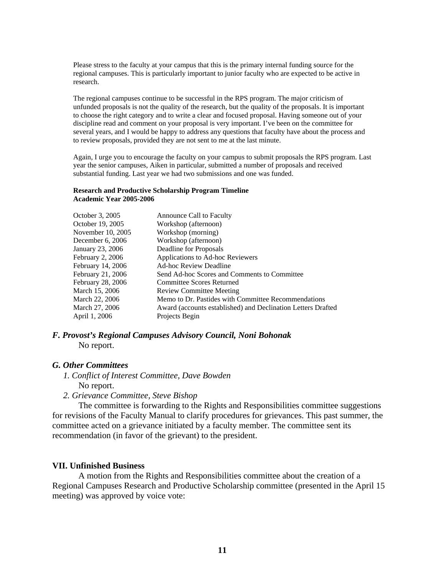Please stress to the faculty at your campus that this is the primary internal funding source for the regional campuses. This is particularly important to junior faculty who are expected to be active in research.

The regional campuses continue to be successful in the RPS program. The major criticism of unfunded proposals is not the quality of the research, but the quality of the proposals. It is important to choose the right category and to write a clear and focused proposal. Having someone out of your discipline read and comment on your proposal is very important. I've been on the committee for several years, and I would be happy to address any questions that faculty have about the process and to review proposals, provided they are not sent to me at the last minute.

Again, I urge you to encourage the faculty on your campus to submit proposals the RPS program. Last year the senior campuses, Aiken in particular, submitted a number of proposals and received substantial funding. Last year we had two submissions and one was funded.

#### **Research and Productive Scholarship Program Timeline Academic Year 2005-2006**

| Announce Call to Faculty                                     |
|--------------------------------------------------------------|
| Workshop (afternoon)                                         |
| Workshop (morning)                                           |
| Workshop (afternoon)                                         |
| Deadline for Proposals                                       |
| Applications to Ad-hoc Reviewers                             |
| <b>Ad-hoc Review Deadline</b>                                |
| Send Ad-hoc Scores and Comments to Committee                 |
| <b>Committee Scores Returned</b>                             |
| <b>Review Committee Meeting</b>                              |
| Memo to Dr. Pastides with Committee Recommendations          |
| Award (accounts established) and Declination Letters Drafted |
| Projects Begin                                               |
|                                                              |

# *F. Provost's Regional Campuses Advisory Council, Noni Bohonak*

No report.

# *G. Other Committees*

- *1. Conflict of Interest Committee, Dave Bowden*  No report.
- *2. Grievance Committee, Steve Bishop*

The committee is forwarding to the Rights and Responsibilities committee suggestions for revisions of the Faculty Manual to clarify procedures for grievances. This past summer, the committee acted on a grievance initiated by a faculty member. The committee sent its recommendation (in favor of the grievant) to the president.

# **VII. Unfinished Business**

A motion from the Rights and Responsibilities committee about the creation of a Regional Campuses Research and Productive Scholarship committee (presented in the April 15 meeting) was approved by voice vote: